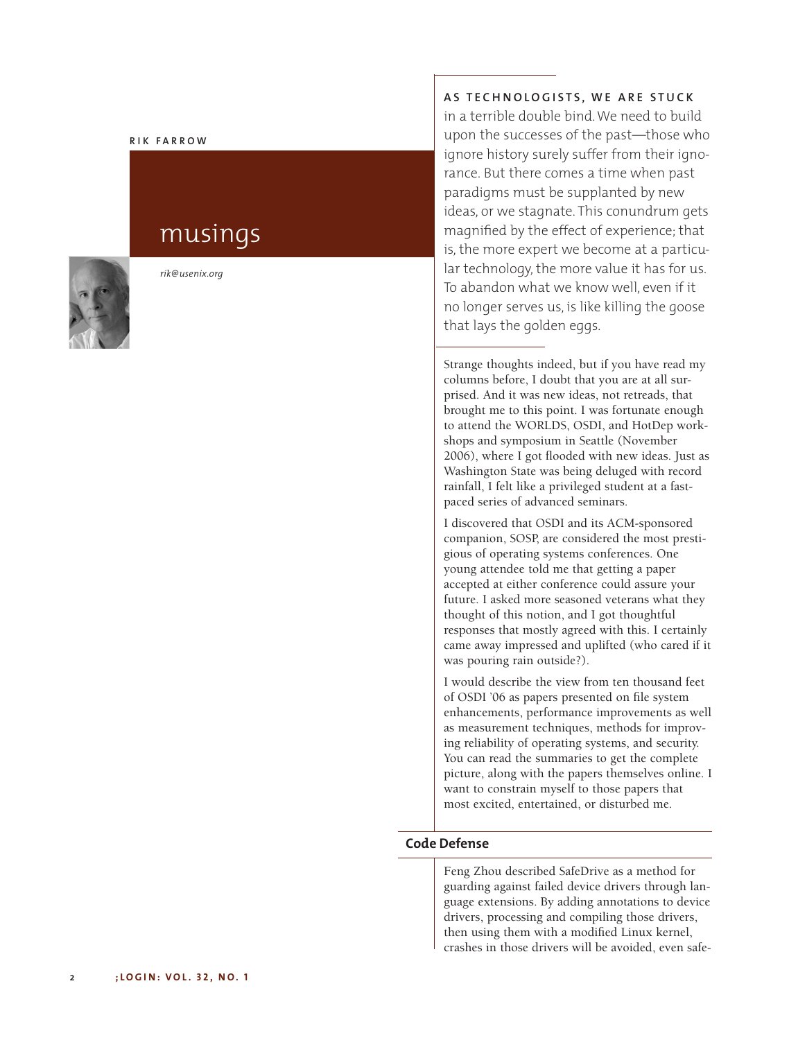#### **R I K F A R R O W**

# musings



*rik@usenix.org*

## AS TECHNOLOGISTS, WE ARE STUCK

in a terrible double bind.We need to build upon the successes of the past—those who ignore history surely suffer from their ignorance. But there comes a time when past paradigms must be supplanted by new ideas, or we stagnate. This conundrum gets magnified by the effect of experience; that is, the more expert we become at a particular technology, the more value it has for us. To abandon what we know well, even if it no longer serves us, is like killing the goose that lays the golden eggs.

Strange thoughts indeed, but if you have read my columns before, I doubt that you are at all surprised. And it was new ideas, not retreads, that brought me to this point. I was fortunate enough to attend the WORLDS, OSDI, and HotDep workshops and symposium in Seattle (November 2006), where I got flooded with new ideas. Just as Washington State was being deluged with record rainfall, I felt like a privileged student at a fastpaced series of advanced seminars.

I discovered that OSDI and its ACM-sponsored companion, SOSP, are considered the most prestigious of operating systems conferences. One young attendee told me that getting a paper accepted at either conference could assure your future. I asked more seasoned veterans what they thought of this notion, and I got thoughtful responses that mostly agreed with this. I certainly came away impressed and uplifted (who cared if it was pouring rain outside?).

I would describe the view from ten thousand feet of OSDI '06 as papers presented on file system enhancements, performance improvements as well as measurement techniques, methods for improving reliability of operating systems, and security. You can read the summaries to get the complete picture, along with the papers themselves online. I want to constrain myself to those papers that most excited, entertained, or disturbed me.

## **Code Defense**

Feng Zhou described SafeDrive as a method for guarding against failed device drivers through language extensions. By adding annotations to device drivers, processing and compiling those drivers, then using them with a modified Linux kernel, crashes in those drivers will be avoided, even safe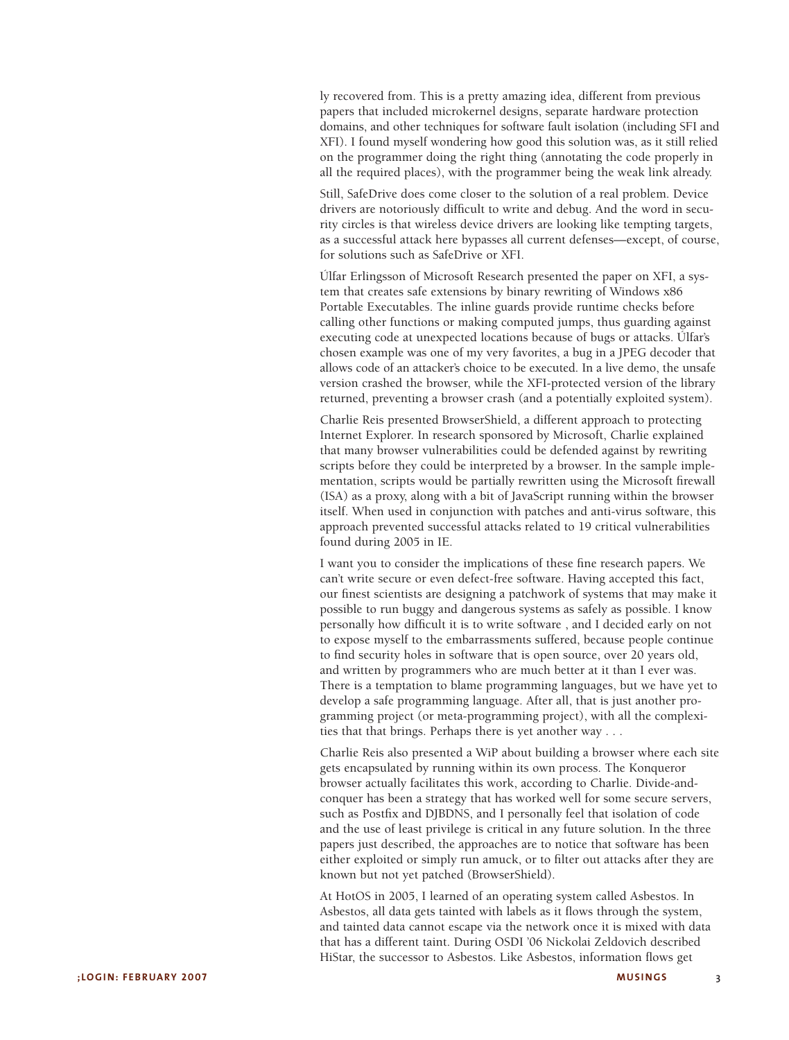ly recovered from. This is a pretty amazing idea, different from previous papers that included microkernel designs, separate hardware protection domains, and other techniques for software fault isolation (including SFI and XFI). I found myself wondering how good this solution was, as it still relied on the programmer doing the right thing (annotating the code properly in all the required places), with the programmer being the weak link already.

Still, SafeDrive does come closer to the solution of a real problem. Device drivers are notoriously difficult to write and debug. And the word in security circles is that wireless device drivers are looking like tempting targets, as a successful attack here bypasses all current defenses—except, of course, for solutions such as SafeDrive or XFI.

Úlfar Erlingsson of Microsoft Research presented the paper on XFI, a system that creates safe extensions by binary rewriting of Windows x86 Portable Executables. The inline guards provide runtime checks before calling other functions or making computed jumps, thus guarding against executing code at unexpected locations because of bugs or attacks. Ulfar's chosen example was one of my very favorites, a bug in a JPEG decoder that allows code of an attacker's choice to be executed. In a live demo, the unsafe version crashed the browser, while the XFI-protected version of the library returned, preventing a browser crash (and a potentially exploited system).

Charlie Reis presented BrowserShield, a different approach to protecting Internet Explorer. In research sponsored by Microsoft, Charlie explained that many browser vulnerabilities could be defended against by rewriting scripts before they could be interpreted by a browser. In the sample implementation, scripts would be partially rewritten using the Microsoft firewall (ISA) as a proxy, along with a bit of JavaScript running within the browser itself. When used in conjunction with patches and anti-virus software, this approach prevented successful attacks related to 19 critical vulnerabilities found during 2005 in IE.

I want you to consider the implications of these fine research papers. We can't write secure or even defect-free software. Having accepted this fact, ' our finest scientists are designing a patchwork of systems that may make it possible to run buggy and dangerous systems as safely as possible. I know personally how difficult it is to write software , and I decided early on not to expose myself to the embarrassments suffered, because people continue to find security holes in software that is open source, over 20 years old, and written by programmers who are much better at it than I ever was. There is a temptation to blame programming languages, but we have yet to develop a safe programming language. After all, that is just another programming project (or meta-programming project), with all the complexities that that brings. Perhaps there is yet another way . . .

Charlie Reis also presented a WiP about building a browser where each site gets encapsulated by running within its own process. The Konqueror browser actually facilitates this work, according to Charlie. Divide-andconquer has been a strategy that has worked well for some secure servers, such as Postfix and DJBDNS, and I personally feel that isolation of code and the use of least privilege is critical in any future solution. In the three papers just described, the approaches are to notice that software has been either exploited or simply run amuck, or to filter out attacks after they are known but not yet patched (BrowserShield).

At HotOS in 2005, I learned of an operating system called Asbestos. In Asbestos, all data gets tainted with labels as it flows through the system, and tainted data cannot escape via the network once it is mixed with data that has a different taint. During OSDI '06 Nickolai Zeldovich described ' HiStar, the successor to Asbestos. Like Asbestos, information flows get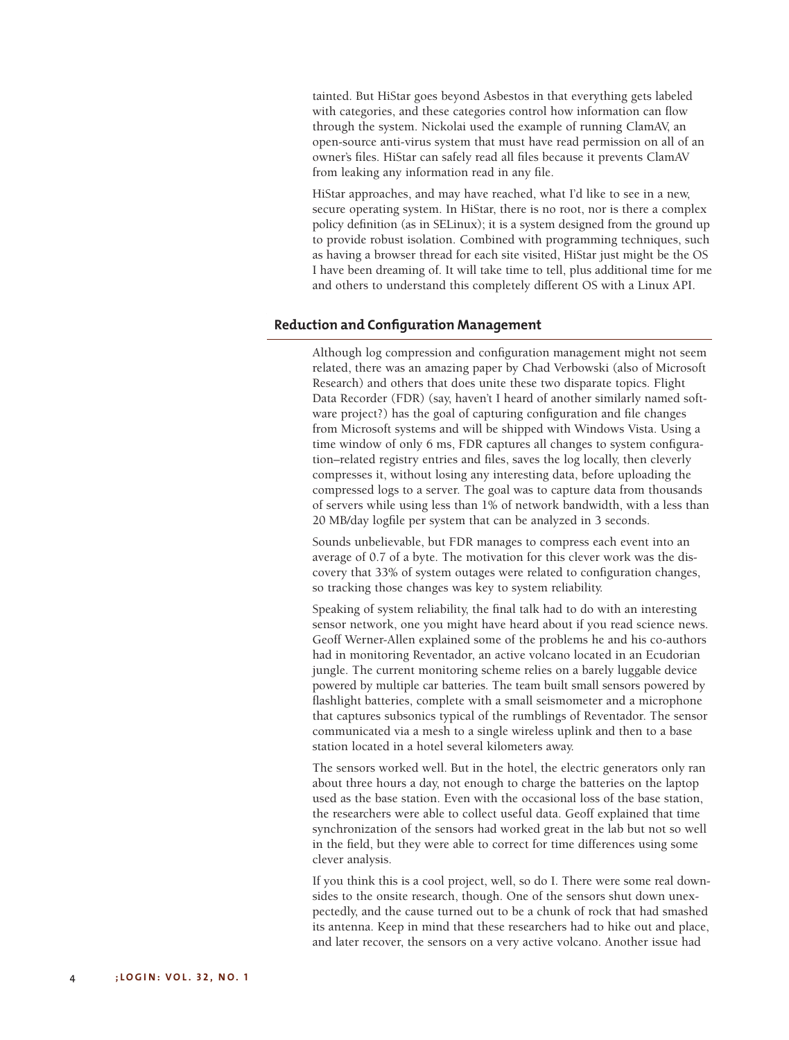tainted. But HiStar goes beyond Asbestos in that everything gets labeled with categories, and these categories control how information can flow through the system. Nickolai used the example of running ClamAV, an open-source anti-virus system that must have read permission on all of an owner's files. HiStar can safely read all files because it prevents ClamAV from leaking any information read in any file.

HiStar approaches, and may have reached, what I'd like to see in a new, secure operating system. In HiStar, there is no root, nor is there a complex policy definition (as in SELinux); it is a system designed from the ground up to provide robust isolation. Combined with programming techniques, such as having a browser thread for each site visited, HiStar just might be the OS I have been dreaming of. It will take time to tell, plus additional time for me and others to understand this completely different OS with a Linux API.

### **Reduction and Configuration Management**

Although log compression and configuration management might not seem related, there was an amazing paper by Chad Verbowski (also of Microsoft Research) and others that does unite these two disparate topics. Flight Data Recorder (FDR) (say, haven't I heard of another similarly named software project?) has the goal of capturing configuration and file changes from Microsoft systems and will be shipped with Windows Vista. Using a time window of only 6 ms, FDR captures all changes to system configuration–related registry entries and files, saves the log locally, then cleverly compresses it, without losing any interesting data, before uploading the compressed logs to a server. The goal was to capture data from thousands of servers while using less than 1% of network bandwidth, with a less than 20 MB/day logfile per system that can be analyzed in 3 seconds.

Sounds unbelievable, but FDR manages to compress each event into an average of 0.7 of a byte. The motivation for this clever work was the discovery that 33% of system outages were related to configuration changes, so tracking those changes was key to system reliability.

Speaking of system reliability, the final talk had to do with an interesting sensor network, one you might have heard about if you read science news. Geoff Werner-Allen explained some of the problems he and his co-authors had in monitoring Reventador, an active volcano located in an Ecudorian jungle. The current monitoring scheme relies on a barely luggable device powered by multiple car batteries. The team built small sensors powered by flashlight batteries, complete with a small seismometer and a microphone that captures subsonics typical of the rumblings of Reventador. The sensor communicated via a mesh to a single wireless uplink and then to a base station located in a hotel several kilometers away.

The sensors worked well. But in the hotel, the electric generators only ran about three hours a day, not enough to charge the batteries on the laptop used as the base station. Even with the occasional loss of the base station, the researchers were able to collect useful data. Geoff explained that time synchronization of the sensors had worked great in the lab but not so well in the field, but they were able to correct for time differences using some clever analysis.

If you think this is a cool project, well, so do I. There were some real downsides to the onsite research, though. One of the sensors shut down unexpectedly, and the cause turned out to be a chunk of rock that had smashed its antenna. Keep in mind that these researchers had to hike out and place, and later recover, the sensors on a very active volcano. Another issue had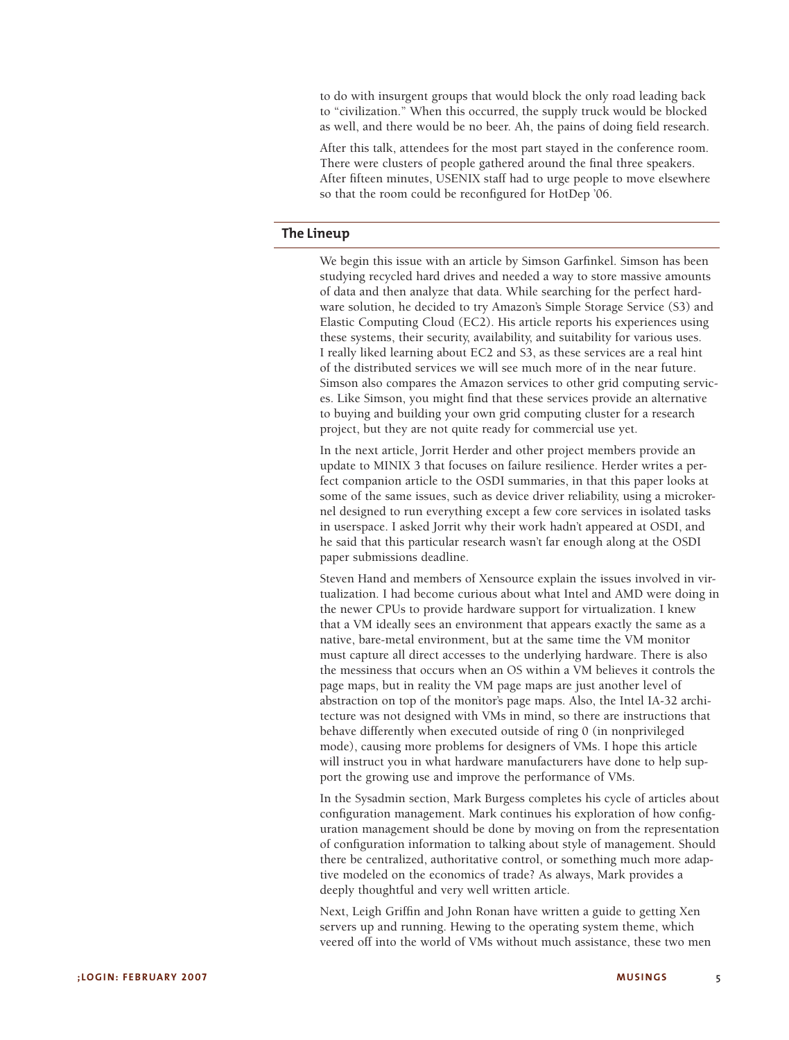to do with insurgent groups that would block the only road leading back to "civilization." When this occurred, the supply truck would be blocked as well, and there would be no beer. Ah, the pains of doing field research.

After this talk, attendees for the most part stayed in the conference room. There were clusters of people gathered around the final three speakers. After fifteen minutes, USENIX staff had to urge people to move elsewhere so that the room could be reconfigured for HotDep '06.

## **The Lineup**

We begin this issue with an article by Simson Garfinkel. Simson has been studying recycled hard drives and needed a way to store massive amounts of data and then analyze that data. While searching for the perfect hardware solution, he decided to try Amazon's Simple Storage Service (S3) and Elastic Computing Cloud (EC2). His article reports his experiences using these systems, their security, availability, and suitability for various uses. I really liked learning about EC2 and S3, as these services are a real hint of the distributed services we will see much more of in the near future. Simson also compares the Amazon services to other grid computing services. Like Simson, you might find that these services provide an alternative to buying and building your own grid computing cluster for a research project, but they are not quite ready for commercial use yet.

In the next article, Jorrit Herder and other project members provide an update to MINIX 3 that focuses on failure resilience. Herder writes a perfect companion article to the OSDI summaries, in that this paper looks at some of the same issues, such as device driver reliability, using a microkernel designed to run everything except a few core services in isolated tasks in userspace. I asked Jorrit why their work hadn't appeared at OSDI, and he said that this particular research wasn't far enough along at the OSDI paper submissions deadline.

Steven Hand and members of Xensource explain the issues involved in virtualization. I had become curious about what Intel and AMD were doing in the newer CPUs to provide hardware support for virtualization. I knew that a VM ideally sees an environment that appears exactly the same as a native, bare-metal environment, but at the same time the VM monitor must capture all direct accesses to the underlying hardware. There is also the messiness that occurs when an OS within a VM believes it controls the page maps, but in reality the VM page maps are just another level of abstraction on top of the monitor's page maps. Also, the Intel IA-32 architecture was not designed with VMs in mind, so there are instructions that behave differently when executed outside of ring 0 (in nonprivileged mode), causing more problems for designers of VMs. I hope this article will instruct you in what hardware manufacturers have done to help support the growing use and improve the performance of VMs.

In the Sysadmin section, Mark Burgess completes his cycle of articles about configuration management. Mark continues his exploration of how configuration management should be done by moving on from the representation of configuration information to talking about style of management. Should there be centralized, authoritative control, or something much more adaptive modeled on the economics of trade? As always, Mark provides a deeply thoughtful and very well written article.

Next, Leigh Griffin and John Ronan have written a guide to getting Xen servers up and running. Hewing to the operating system theme, which veered off into the world of VMs without much assistance, these two men